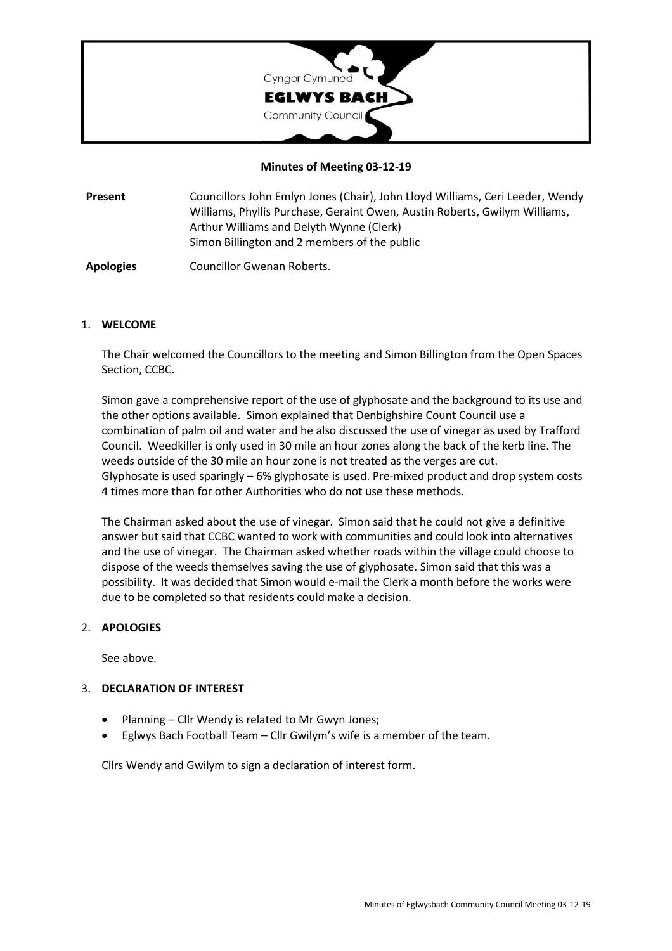

### **Minutes of Meeting 03-12-19**

**Present** Councillors John Emlyn Jones (Chair), John Lloyd Williams, Ceri Leeder, Wendy Williams, Phyllis Purchase, Geraint Owen, Austin Roberts, Gwilym Williams, Arthur Williams and Delyth Wynne (Clerk) Simon Billington and 2 members of the public

**Apologies** Councillor Gwenan Roberts.

#### 1. **WELCOME**

The Chair welcomed the Councillors to the meeting and Simon Billington from the Open Spaces Section, CCBC.

Simon gave a comprehensive report of the use of glyphosate and the background to its use and the other options available. Simon explained that Denbighshire Count Council use a combination of palm oil and water and he also discussed the use of vinegar as used by Trafford Council. Weedkiller is only used in 30 mile an hour zones along the back of the kerb line. The weeds outside of the 30 mile an hour zone is not treated as the verges are cut. Glyphosate is used sparingly – 6% glyphosate is used. Pre-mixed product and drop system costs 4 times more than for other Authorities who do not use these methods.

The Chairman asked about the use of vinegar. Simon said that he could not give a definitive answer but said that CCBC wanted to work with communities and could look into alternatives and the use of vinegar. The Chairman asked whether roads within the village could choose to dispose of the weeds themselves saving the use of glyphosate. Simon said that this was a possibility. It was decided that Simon would e-mail the Clerk a month before the works were due to be completed so that residents could make a decision.

### 2. **APOLOGIES**

See above.

### 3. **DECLARATION OF INTEREST**

- Planning Cllr Wendy is related to Mr Gwyn Jones;
- Eglwys Bach Football Team Cllr Gwilym's wife is a member of the team.

Cllrs Wendy and Gwilym to sign a declaration of interest form.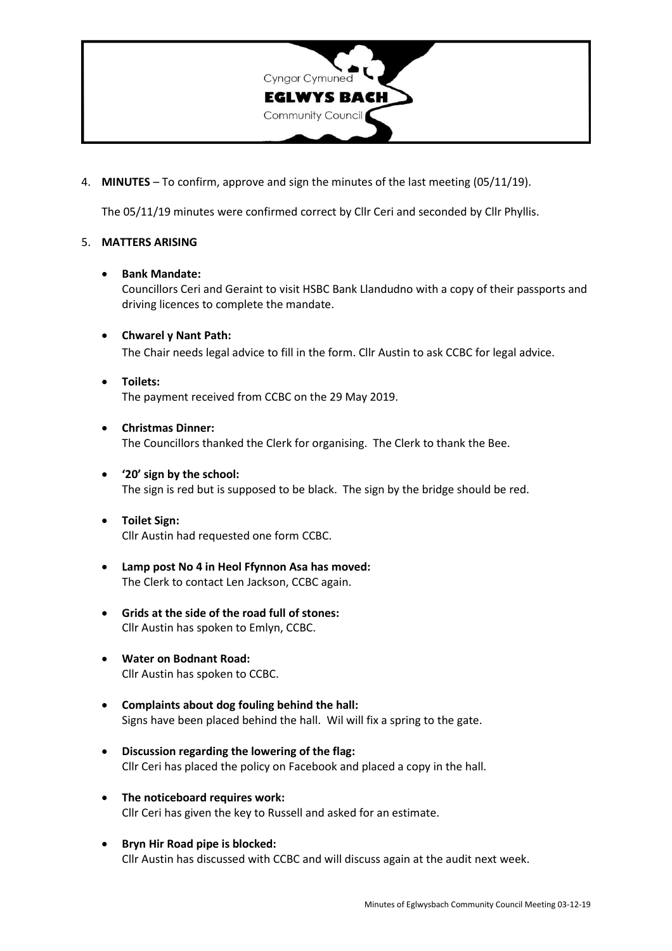

4. **MINUTES** – To confirm, approve and sign the minutes of the last meeting (05/11/19).

The 05/11/19 minutes were confirmed correct by Cllr Ceri and seconded by Cllr Phyllis.

## 5. **MATTERS ARISING**

#### • **Bank Mandate:**

Councillors Ceri and Geraint to visit HSBC Bank Llandudno with a copy of their passports and driving licences to complete the mandate.

- **Chwarel y Nant Path:** The Chair needs legal advice to fill in the form. Cllr Austin to ask CCBC for legal advice.
- **Toilets:** The payment received from CCBC on the 29 May 2019.
- **Christmas Dinner:** The Councillors thanked the Clerk for organising. The Clerk to thank the Bee.
- **'20' sign by the school:** The sign is red but is supposed to be black. The sign by the bridge should be red.
- **Toilet Sign:** Cllr Austin had requested one form CCBC.
- **Lamp post No 4 in Heol Ffynnon Asa has moved:** The Clerk to contact Len Jackson, CCBC again.
- **Grids at the side of the road full of stones:** Cllr Austin has spoken to Emlyn, CCBC.
- **Water on Bodnant Road:** Cllr Austin has spoken to CCBC.
- **Complaints about dog fouling behind the hall:** Signs have been placed behind the hall. Wil will fix a spring to the gate.
- **Discussion regarding the lowering of the flag:** Cllr Ceri has placed the policy on Facebook and placed a copy in the hall.
- **The noticeboard requires work:** Cllr Ceri has given the key to Russell and asked for an estimate.
- **Bryn Hir Road pipe is blocked:** Cllr Austin has discussed with CCBC and will discuss again at the audit next week.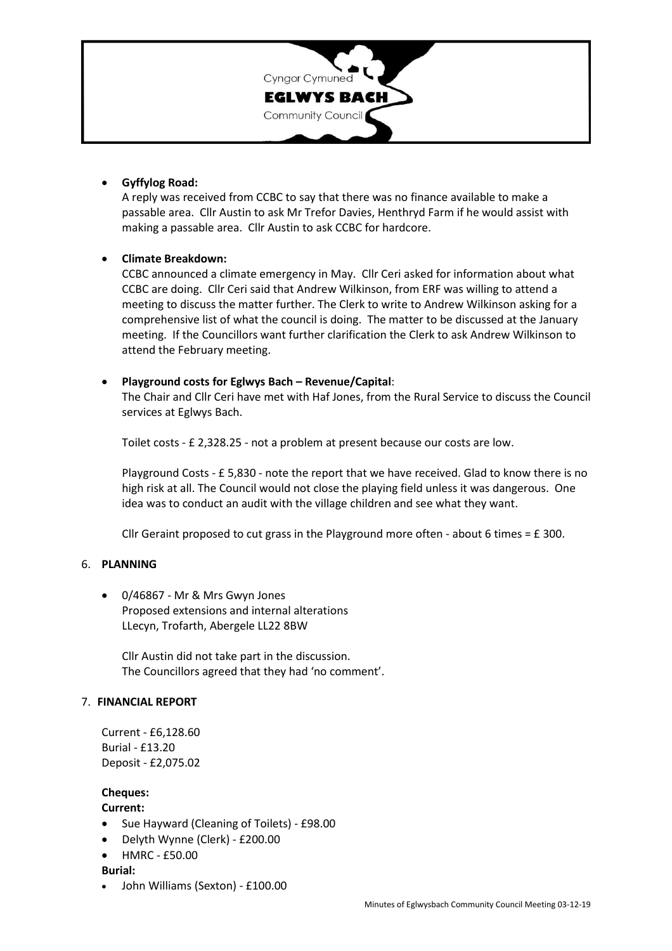

## • **Gyffylog Road:**

A reply was received from CCBC to say that there was no finance available to make a passable area. Cllr Austin to ask Mr Trefor Davies, Henthryd Farm if he would assist with making a passable area. Cllr Austin to ask CCBC for hardcore.

# • **Climate Breakdown:**

CCBC announced a climate emergency in May. Cllr Ceri asked for information about what CCBC are doing. Cllr Ceri said that Andrew Wilkinson, from ERF was willing to attend a meeting to discuss the matter further. The Clerk to write to Andrew Wilkinson asking for a comprehensive list of what the council is doing. The matter to be discussed at the January meeting. If the Councillors want further clarification the Clerk to ask Andrew Wilkinson to attend the February meeting.

### • **Playground costs for Eglwys Bach – Revenue/Capital**:

The Chair and Cllr Ceri have met with Haf Jones, from the Rural Service to discuss the Council services at Eglwys Bach.

Toilet costs - £ 2,328.25 - not a problem at present because our costs are low.

Playground Costs - £ 5,830 - note the report that we have received. Glad to know there is no high risk at all. The Council would not close the playing field unless it was dangerous. One idea was to conduct an audit with the village children and see what they want.

Cllr Geraint proposed to cut grass in the Playground more often - about 6 times =  $E$  300.

### 6. **PLANNING**

• 0/46867 - Mr & Mrs Gwyn Jones Proposed extensions and internal alterations LLecyn, Trofarth, Abergele LL22 8BW

Cllr Austin did not take part in the discussion. The Councillors agreed that they had 'no comment'.

### 7. **FINANCIAL REPORT**

Current - £6,128.60 Burial - £13.20 Deposit - £2,075.02

**Cheques:**

**Current:**

- Sue Hayward (Cleaning of Toilets) £98.00
- Delyth Wynne (Clerk) £200.00
- HMRC £50.00

**Burial:**

• John Williams (Sexton) - £100.00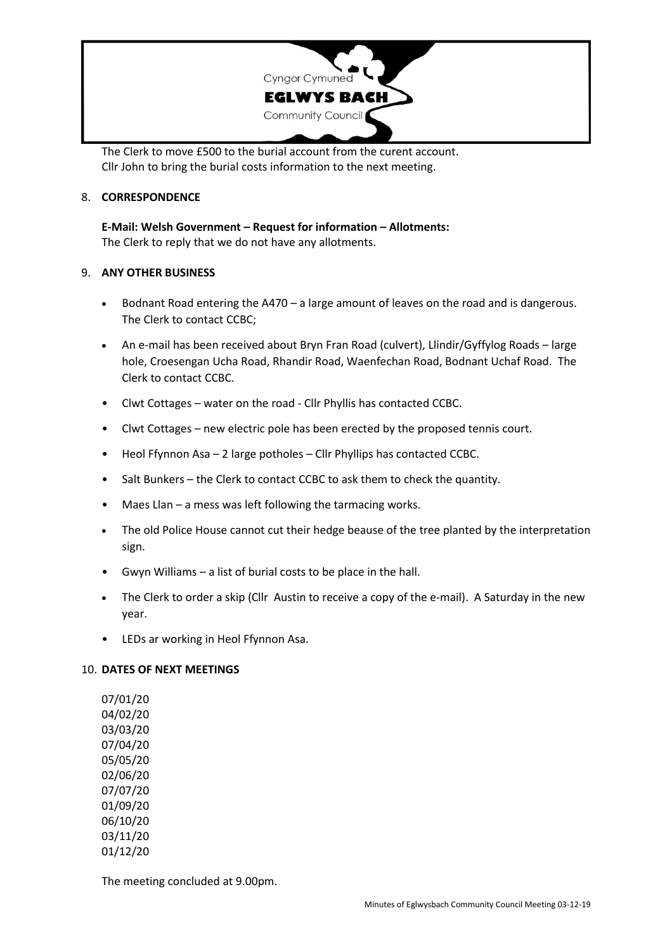

The Clerk to move £500 to the burial account from the curent account. Cllr John to bring the burial costs information to the next meeting.

### 8. **CORRESPONDENCE**

**E-Mail: Welsh Government – Request for information – Allotments:** The Clerk to reply that we do not have any allotments.

### 9. **ANY OTHER BUSINESS**

- Bodnant Road entering the A470 a large amount of leaves on the road and is dangerous. The Clerk to contact CCBC;
- An e-mail has been received about Bryn Fran Road (culvert), Llindir/Gyffylog Roads large hole, Croesengan Ucha Road, Rhandir Road, Waenfechan Road, Bodnant Uchaf Road. The Clerk to contact CCBC.
- Clwt Cottages water on the road Cllr Phyllis has contacted CCBC.
- Clwt Cottages new electric pole has been erected by the proposed tennis court.
- Heol Ffynnon Asa 2 large potholes Cllr Phyllips has contacted CCBC.
- Salt Bunkers the Clerk to contact CCBC to ask them to check the quantity.
- Maes Llan a mess was left following the tarmacing works.
- The old Police House cannot cut their hedge beause of the tree planted by the interpretation sign.
- Gwyn Williams a list of burial costs to be place in the hall.
- The Clerk to order a skip (Cllr Austin to receive a copy of the e-mail). A Saturday in the new year.
- LEDs ar working in Heol Ffynnon Asa.

### 10. **DATES OF NEXT MEETINGS**

07/01/20 04/02/20 03/03/20 07/04/20 05/05/20 02/06/20 07/07/20 01/09/20 06/10/20 03/11/20 01/12/20

The meeting concluded at 9.00pm.